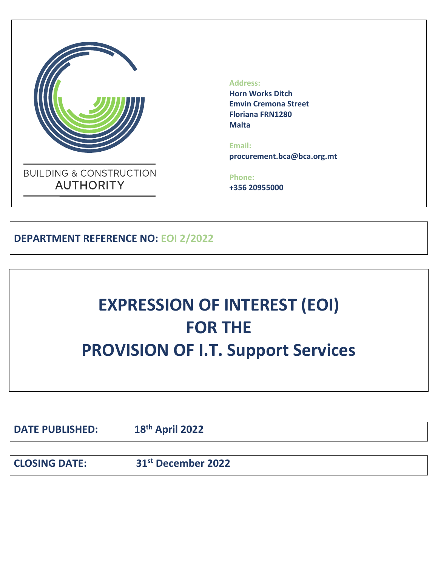

 **Address:**

 **Horn Works Ditch Emvin Cremona Street Floriana FRN1280 Malta**

 **Email: procurement.bca@bca.org.mt**

 **Phone: +356 20955000**

**DEPARTMENT REFERENCE NO: EOI 2/2022**

# **EXPRESSION OF INTEREST (EOI) FOR THE PROVISION OF I.T. Support Services**

**DATE PUBLISHED:** 

**th April 2022**

**CLOSING DATE: 31st December 2022**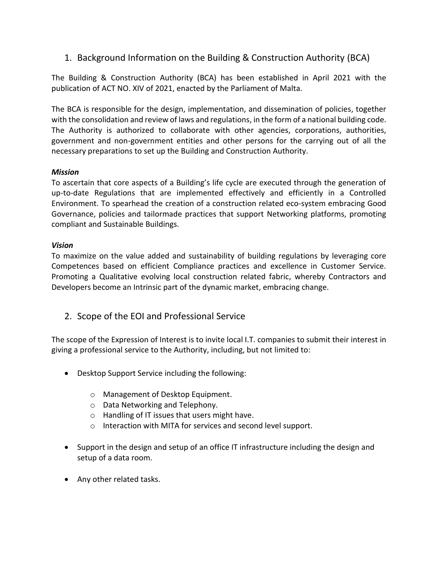## 1. Background Information on the Building & Construction Authority (BCA)

The Building & Construction Authority (BCA) has been established in April 2021 with the publication of ACT NO. XIV of 2021, enacted by the Parliament of Malta.

The BCA is responsible for the design, implementation, and dissemination of policies, together with the consolidation and review of laws and regulations, in the form of a national building code. The Authority is authorized to collaborate with other agencies, corporations, authorities, government and non-government entities and other persons for the carrying out of all the necessary preparations to set up the Building and Construction Authority.

#### *Mission*

To ascertain that core aspects of a Building's life cycle are executed through the generation of up-to-date Regulations that are implemented effectively and efficiently in a Controlled Environment. To spearhead the creation of a construction related eco-system embracing Good Governance, policies and tailormade practices that support Networking platforms, promoting compliant and Sustainable Buildings.

#### *Vision*

To maximize on the value added and sustainability of building regulations by leveraging core Competences based on efficient Compliance practices and excellence in Customer Service. Promoting a Qualitative evolving local construction related fabric, whereby Contractors and Developers become an Intrinsic part of the dynamic market, embracing change.

2. Scope of the EOI and Professional Service

The scope of the Expression of Interest is to invite local I.T. companies to submit their interest in giving a professional service to the Authority, including, but not limited to:

- Desktop Support Service including the following:
	- o Management of Desktop Equipment.
	- o Data Networking and Telephony.
	- o Handling of IT issues that users might have.
	- o Interaction with MITA for services and second level support.
- Support in the design and setup of an office IT infrastructure including the design and setup of a data room.
- Any other related tasks.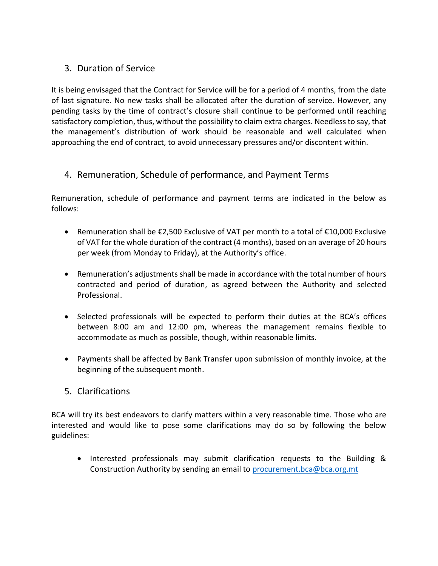## 3. Duration of Service

It is being envisaged that the Contract for Service will be for a period of 4 months, from the date of last signature. No new tasks shall be allocated after the duration of service. However, any pending tasks by the time of contract's closure shall continue to be performed until reaching satisfactory completion, thus, without the possibility to claim extra charges. Needless to say, that the management's distribution of work should be reasonable and well calculated when approaching the end of contract, to avoid unnecessary pressures and/or discontent within.

## 4. Remuneration, Schedule of performance, and Payment Terms

Remuneration, schedule of performance and payment terms are indicated in the below as follows:

- Remuneration shall be €2,500 Exclusive of VAT per month to a total of €10,000 Exclusive of VAT for the whole duration of the contract (4 months), based on an average of 20 hours per week (from Monday to Friday), at the Authority's office.
- Remuneration's adjustments shall be made in accordance with the total number of hours contracted and period of duration, as agreed between the Authority and selected Professional.
- Selected professionals will be expected to perform their duties at the BCA's offices between 8:00 am and 12:00 pm, whereas the management remains flexible to accommodate as much as possible, though, within reasonable limits.
- Payments shall be affected by Bank Transfer upon submission of monthly invoice, at the beginning of the subsequent month.

## 5. Clarifications

BCA will try its best endeavors to clarify matters within a very reasonable time. Those who are interested and would like to pose some clarifications may do so by following the below guidelines:

• Interested professionals may submit clarification requests to the Building & Construction Authority by sending an email to [procurement.bca@bca.org.mt](mailto:procurement.bca@bca.org.mt)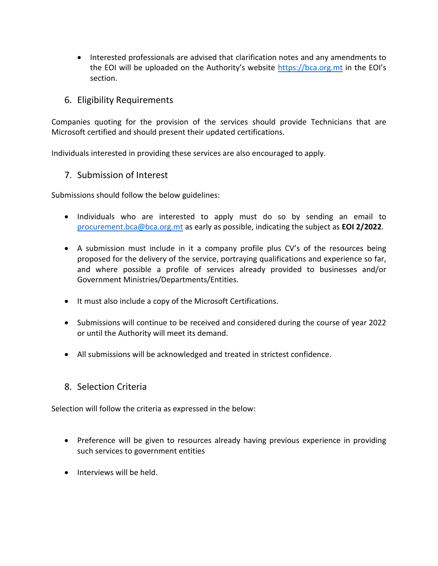• Interested professionals are advised that clarification notes and any amendments to the EOI will be uploaded on the Authority's website [https://bca.org.mt](https://bca.org.mt/) in the EOI's section.

#### 6. Eligibility Requirements

Companies quoting for the provision of the services should provide Technicians that are Microsoft certified and should present their updated certifications.

Individuals interested in providing these services are also encouraged to apply.

#### 7. Submission of Interest

Submissions should follow the below guidelines:

- Individuals who are interested to apply must do so by sending an email to [procurement.bca@bca.org.mt](mailto:procurement.bca@bca.org.mt) as early as possible, indicating the subject as **EOI 2/2022**.
- A submission must include in it a company profile plus CV's of the resources being proposed for the delivery of the service, portraying qualifications and experience so far, and where possible a profile of services already provided to businesses and/or Government Ministries/Departments/Entities.
- It must also include a copy of the Microsoft Certifications.
- Submissions will continue to be received and considered during the course of year 2022 or until the Authority will meet its demand.
- All submissions will be acknowledged and treated in strictest confidence.

### 8. Selection Criteria

Selection will follow the criteria as expressed in the below:

- Preference will be given to resources already having previous experience in providing such services to government entities
- Interviews will be held.